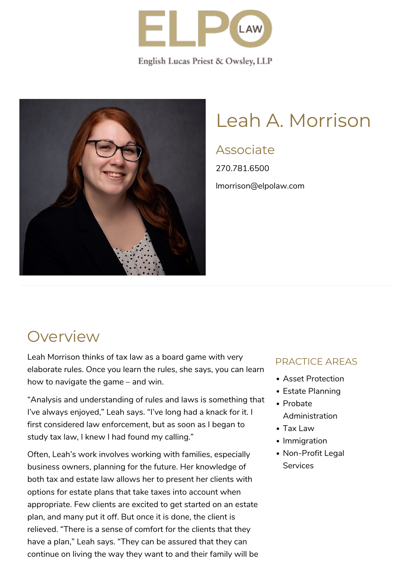

English Lucas Priest & Owsley, LLP



# Leah A. Morrison

### Associate

270.781.6500 lmorrison@elpolaw.com

## **Overview**

Leah Morrison thinks of tax law as a board game with very elaborate rules. Once you learn the rules, she says, you can learn how to navigate the game – and win.

"Analysis and understanding of rules and laws is something that I've always enjoyed," Leah says. "I've long had a knack for it. I first considered law enforcement, but as soon as I began to study tax law, I knew I had found my calling."

Often, Leah's work involves working with families, especially business owners, planning for the future. Her knowledge of both tax and estate law allows her to present her clients with options for estate plans that take taxes into account when appropriate. Few clients are excited to get started on an estate plan, and many put it off. But once it is done, the client is relieved. "There is a sense of comfort for the clients that they have a plan," Leah says. "They can be assured that they can continue on living the way they want to and their family will be

#### PRACTICE AREAS

- Asset Protection
- Estate Planning
- Probate Administration
- Tax Law
- Immigration
- Non-Profit Legal **Services**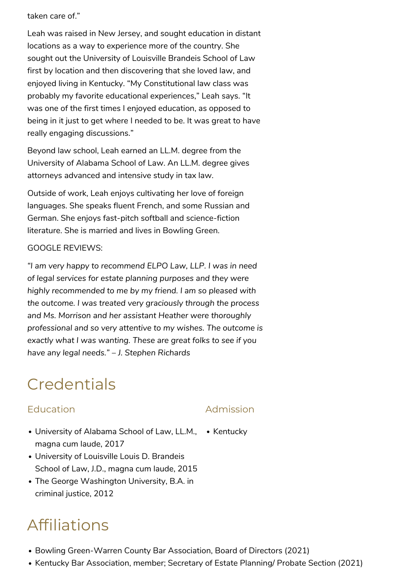taken care of."

Leah was raised in New Jersey, and sought education in distant locations as a way to experience more of the country. She sought out the University of Louisville Brandeis School of Law first by location and then discovering that she loved law, and enjoyed living in Kentucky. "My Constitutional law class was probably my favorite educational experiences," Leah says. "It was one of the first times I enjoyed education, as opposed to being in it just to get where I needed to be. It was great to have really engaging discussions."

Beyond law school, Leah earned an LL.M. degree from the University of Alabama School of Law. An LL.M. degree gives attorneys advanced and intensive study in tax law.

Outside of work, Leah enjoys cultivating her love of foreign languages. She speaks fluent French, and some Russian and German. She enjoys fast-pitch softball and science-fiction literature. She is married and lives in Bowling Green.

#### GOOGLE REVIEWS:

*"I am very happy to recommend ELPO Law, LLP. I was in need of legal services for estate planning purposes and they were highly recommended to me by my friend. I am so pleased with the outcome. I was treated very graciously through the process and Ms. Morrison and her assistant Heather were thoroughly professional and so very attentive to my wishes. The outcome is exactly what I was wanting. These are great folks to see if you have any legal needs." – J. Stephen Richards*

## **Credentials**

#### Education

#### Admission

- [University of Alabama School of Law](https://www.law.ua.edu/), LL.M., Kentucky magna cum laude, 2017
- [University of Louisville Louis D. Brandeis](http://www.law.louisville.edu/) [School of Law,](http://www.law.louisville.edu/) J.D., magna cum laude, 2015
- [The George Washington University,](http://www.gwu.edu/) B.A. in criminal justice, 2012

## Affiliations

- [Bowling Green-Warren County Bar Association, Board of Directors \(2021\)](http://www.bg-bar.com/)
- [Kentucky Bar Association](http://www.kybar.org/), member; Secretary of Estate Planning/ Probate Section (2021)